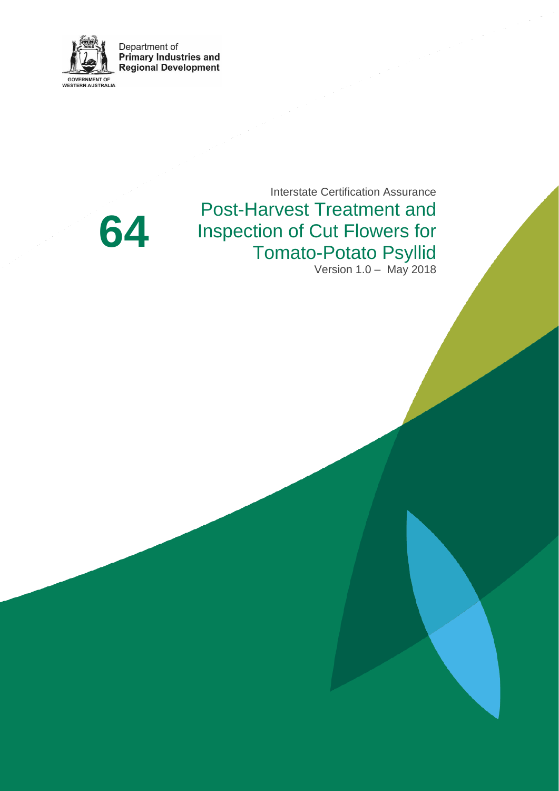

Department of **Primary Industries and<br>Regional Development** 

> Interstate Certification Assurance Post-Harvest Treatment and Inspection of Cut Flowers for Tomato-Potato Psyllid Version 1.0 – May 2018

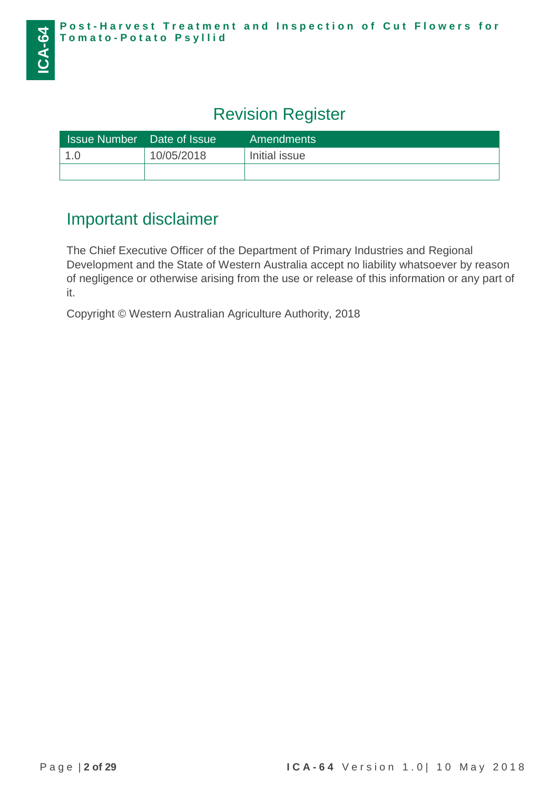# Revision Register

| <b>Issue Number</b> | Date of Issue | <b>Amendments</b> |
|---------------------|---------------|-------------------|
| 1.0                 | 10/05/2018    | Initial issue     |
|                     |               |                   |

# Important disclaimer

The Chief Executive Officer of the Department of Primary Industries and Regional Development and the State of Western Australia accept no liability whatsoever by reason of negligence or otherwise arising from the use or release of this information or any part of it.

Copyright © Western Australian Agriculture Authority, 2018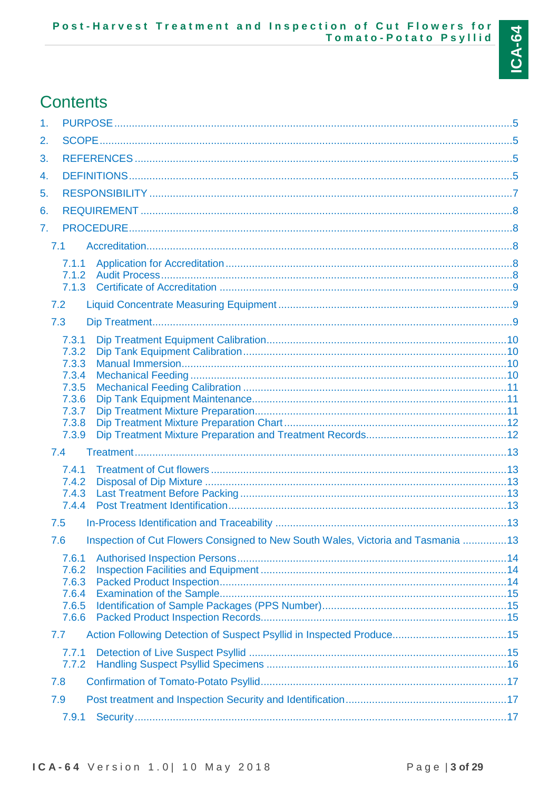

# **Contents**

| 1.                                                                                       |  |
|------------------------------------------------------------------------------------------|--|
| 2.                                                                                       |  |
| 3.                                                                                       |  |
| 4.                                                                                       |  |
| 5.                                                                                       |  |
| 6.                                                                                       |  |
| 7.                                                                                       |  |
| 7.1                                                                                      |  |
| 7.1.1                                                                                    |  |
| 7.1.2<br>7.1.3                                                                           |  |
| 7.2                                                                                      |  |
| 7.3                                                                                      |  |
| 7.3.1                                                                                    |  |
| 7.3.2                                                                                    |  |
| 7.3.3<br>7.3.4                                                                           |  |
| 7.3.5                                                                                    |  |
| 7.3.6<br>7.3.7                                                                           |  |
| 7.3.8                                                                                    |  |
| 7.3.9                                                                                    |  |
| 7.4                                                                                      |  |
| 7.4.1<br>7.4.2                                                                           |  |
| 7.4.3                                                                                    |  |
| 7.4.4                                                                                    |  |
| 7.5                                                                                      |  |
| Inspection of Cut Flowers Consigned to New South Wales, Victoria and Tasmania  13<br>7.6 |  |
| 7.6.1<br>7.6.2                                                                           |  |
| 7.6.3                                                                                    |  |
| 7.6.4                                                                                    |  |
| 7.6.5<br>7.6.6                                                                           |  |
| Action Following Detection of Suspect Psyllid in Inspected Produce15<br>7.7              |  |
| 7.7.1                                                                                    |  |
| 7.7.2                                                                                    |  |
| 7.8                                                                                      |  |
| 7.9                                                                                      |  |
| 7.9.1                                                                                    |  |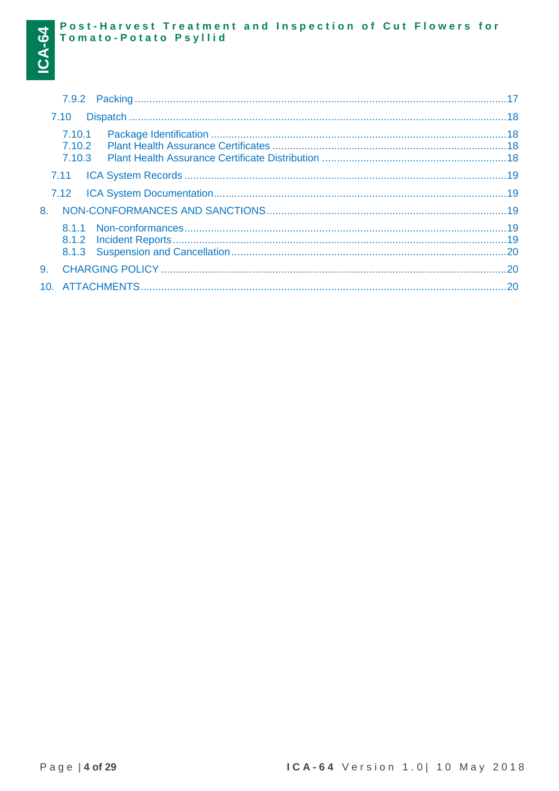|    | 7.10                       |  |
|----|----------------------------|--|
|    | 7.10.1<br>7.10.2<br>7.10.3 |  |
|    |                            |  |
|    |                            |  |
| 8. |                            |  |
|    |                            |  |
| 9. |                            |  |
|    |                            |  |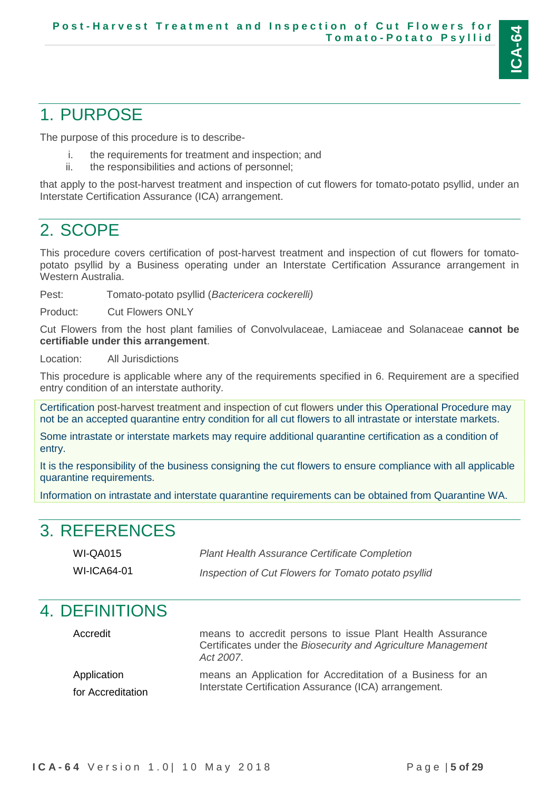

# <span id="page-4-0"></span>1. PURPOSE

The purpose of this procedure is to describe-

- i. the requirements for treatment and inspection; and
- ii. the responsibilities and actions of personnel;

that apply to the post-harvest treatment and inspection of cut flowers for tomato-potato psyllid, under an Interstate Certification Assurance (ICA) arrangement.

# <span id="page-4-1"></span>2. SCOPE

This procedure covers certification of post-harvest treatment and inspection of cut flowers for tomatopotato psyllid by a Business operating under an Interstate Certification Assurance arrangement in Western Australia.

Pest: Tomato-potato psyllid (*Bactericera cockerelli)*

Product: Cut Flowers ONLY

Cut Flowers from the host plant families of Convolvulaceae, Lamiaceae and Solanaceae **cannot be certifiable under this arrangement**.

Location: All Jurisdictions

This procedure is applicable where any of the requirements specified in 6. Requirement are a specified entry condition of an interstate authority.

Certification post-harvest treatment and inspection of cut flowers under this Operational Procedure may not be an accepted quarantine entry condition for all cut flowers to all intrastate or interstate markets.

Some intrastate or interstate markets may require additional quarantine certification as a condition of entry.

It is the responsibility of the business consigning the cut flowers to ensure compliance with all applicable quarantine requirements.

Information on intrastate and interstate quarantine requirements can be obtained from Quarantine WA.

# <span id="page-4-2"></span>3. REFERENCES

| <b>WI-QA015</b> | <b>Plant Health Assurance Certificate Completion</b> |
|-----------------|------------------------------------------------------|
| WI-ICA64-01     | Inspection of Cut Flowers for Tomato potato psyllid  |

## <span id="page-4-3"></span>4. DEFINITIONS

Accredit means to accredit persons to issue Plant Health Assurance Certificates under the *Biosecurity and Agriculture Management Act 2007*. Application for Accreditation means an Application for Accreditation of a Business for an Interstate Certification Assurance (ICA) arrangement.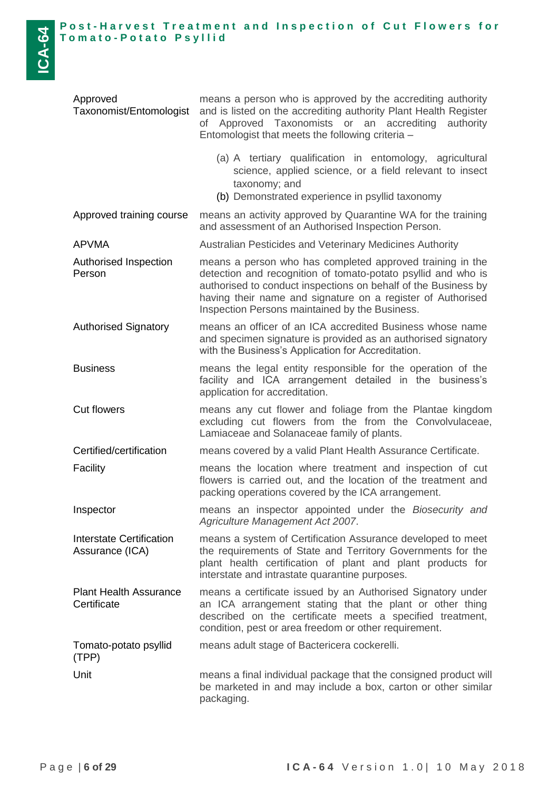| Approved<br>Taxonomist/Entomologist          | means a person who is approved by the accrediting authority<br>and is listed on the accrediting authority Plant Health Register<br>Approved Taxonomists or an accrediting<br>authority<br>of<br>Entomologist that meets the following criteria -                                                              |  |  |
|----------------------------------------------|---------------------------------------------------------------------------------------------------------------------------------------------------------------------------------------------------------------------------------------------------------------------------------------------------------------|--|--|
|                                              | (a) A tertiary qualification in entomology, agricultural<br>science, applied science, or a field relevant to insect<br>taxonomy; and<br>(b) Demonstrated experience in psyllid taxonomy                                                                                                                       |  |  |
| Approved training course                     | means an activity approved by Quarantine WA for the training<br>and assessment of an Authorised Inspection Person.                                                                                                                                                                                            |  |  |
| <b>APVMA</b>                                 | Australian Pesticides and Veterinary Medicines Authority                                                                                                                                                                                                                                                      |  |  |
| Authorised Inspection<br>Person              | means a person who has completed approved training in the<br>detection and recognition of tomato-potato psyllid and who is<br>authorised to conduct inspections on behalf of the Business by<br>having their name and signature on a register of Authorised<br>Inspection Persons maintained by the Business. |  |  |
| <b>Authorised Signatory</b>                  | means an officer of an ICA accredited Business whose name<br>and specimen signature is provided as an authorised signatory<br>with the Business's Application for Accreditation.                                                                                                                              |  |  |
| <b>Business</b>                              | means the legal entity responsible for the operation of the<br>facility and ICA arrangement detailed in the business's<br>application for accreditation.                                                                                                                                                      |  |  |
| <b>Cut flowers</b>                           | means any cut flower and foliage from the Plantae kingdom<br>excluding cut flowers from the from the Convolvulaceae,<br>Lamiaceae and Solanaceae family of plants.                                                                                                                                            |  |  |
| Certified/certification                      | means covered by a valid Plant Health Assurance Certificate.                                                                                                                                                                                                                                                  |  |  |
| Facility                                     | means the location where treatment and inspection of cut<br>flowers is carried out, and the location of the treatment and<br>packing operations covered by the ICA arrangement.                                                                                                                               |  |  |
| Inspector                                    | means an inspector appointed under the Biosecurity and<br>Agriculture Management Act 2007.                                                                                                                                                                                                                    |  |  |
| Interstate Certification<br>Assurance (ICA)  | means a system of Certification Assurance developed to meet<br>the requirements of State and Territory Governments for the<br>plant health certification of plant and plant products for<br>interstate and intrastate quarantine purposes.                                                                    |  |  |
| <b>Plant Health Assurance</b><br>Certificate | means a certificate issued by an Authorised Signatory under<br>an ICA arrangement stating that the plant or other thing<br>described on the certificate meets a specified treatment,<br>condition, pest or area freedom or other requirement.                                                                 |  |  |
| Tomato-potato psyllid<br>(TPP)               | means adult stage of Bactericera cockerelli.                                                                                                                                                                                                                                                                  |  |  |
| Unit                                         | means a final individual package that the consigned product will<br>be marketed in and may include a box, carton or other similar<br>packaging.                                                                                                                                                               |  |  |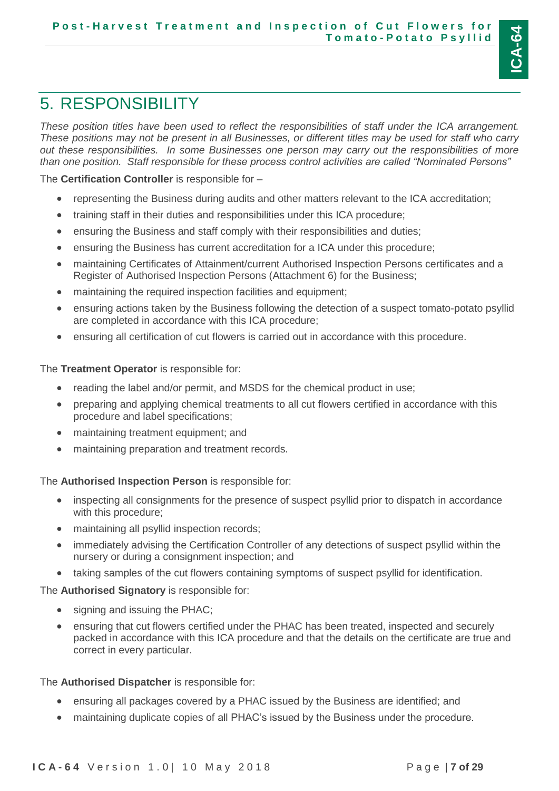

# <span id="page-6-0"></span>5. RESPONSIBILITY

*These position titles have been used to reflect the responsibilities of staff under the ICA arrangement. These positions may not be present in all Businesses, or different titles may be used for staff who carry out these responsibilities. In some Businesses one person may carry out the responsibilities of more than one position. Staff responsible for these process control activities are called "Nominated Persons"*

#### The **Certification Controller** is responsible for –

- representing the Business during audits and other matters relevant to the ICA accreditation;
- training staff in their duties and responsibilities under this ICA procedure;
- ensuring the Business and staff comply with their responsibilities and duties;
- ensuring the Business has current accreditation for a ICA under this procedure;
- maintaining Certificates of Attainment/current Authorised Inspection Persons certificates and a Register of Authorised Inspection Persons (Attachment 6) for the Business;
- maintaining the required inspection facilities and equipment;
- ensuring actions taken by the Business following the detection of a suspect tomato-potato psyllid are completed in accordance with this ICA procedure;
- ensuring all certification of cut flowers is carried out in accordance with this procedure.

#### The **Treatment Operator** is responsible for:

- reading the label and/or permit, and MSDS for the chemical product in use;
- preparing and applying chemical treatments to all cut flowers certified in accordance with this procedure and label specifications;
- maintaining treatment equipment; and
- maintaining preparation and treatment records.

The **Authorised Inspection Person** is responsible for:

- inspecting all consignments for the presence of suspect psyllid prior to dispatch in accordance with this procedure;
- maintaining all psyllid inspection records;
- immediately advising the Certification Controller of any detections of suspect psyllid within the nursery or during a consignment inspection; and
- taking samples of the cut flowers containing symptoms of suspect psyllid for identification.

#### The **Authorised Signatory** is responsible for:

- signing and issuing the PHAC;
- ensuring that cut flowers certified under the PHAC has been treated, inspected and securely packed in accordance with this ICA procedure and that the details on the certificate are true and correct in every particular.

#### The **Authorised Dispatcher** is responsible for:

- ensuring all packages covered by a PHAC issued by the Business are identified; and
- maintaining duplicate copies of all PHAC's issued by the Business under the procedure.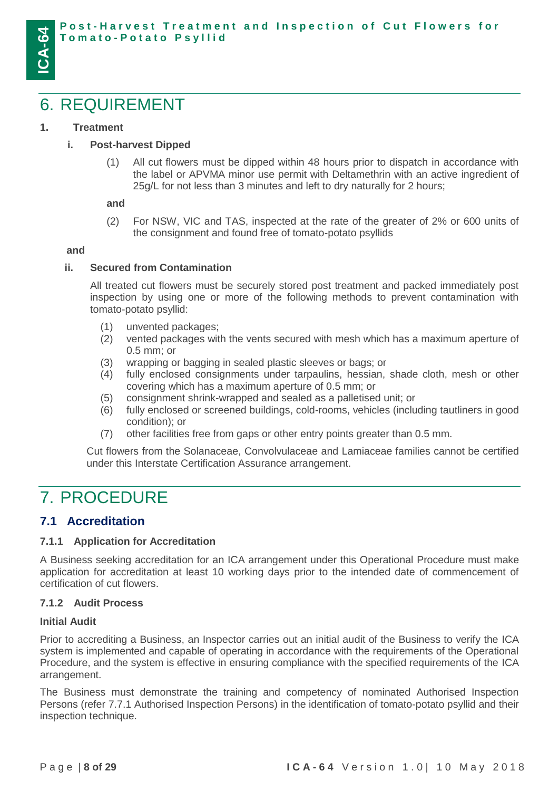## <span id="page-7-0"></span>6. REQUIREMENT

#### **1. Treatment**

#### **i. Post-harvest Dipped**

(1) All cut flowers must be dipped within 48 hours prior to dispatch in accordance with the label or APVMA minor use permit with Deltamethrin with an active ingredient of 25g/L for not less than 3 minutes and left to dry naturally for 2 hours;

#### **and**

(2) For NSW, VIC and TAS, inspected at the rate of the greater of 2% or 600 units of the consignment and found free of tomato-potato psyllids

#### **and**

#### **ii. Secured from Contamination**

All treated cut flowers must be securely stored post treatment and packed immediately post inspection by using one or more of the following methods to prevent contamination with tomato-potato psyllid:

- (1) unvented packages;
- (2) vented packages with the vents secured with mesh which has a maximum aperture of 0.5 mm; or
- (3) wrapping or bagging in sealed plastic sleeves or bags; or
- (4) fully enclosed consignments under tarpaulins, hessian, shade cloth, mesh or other covering which has a maximum aperture of 0.5 mm; or
- (5) consignment shrink-wrapped and sealed as a palletised unit; or
- (6) fully enclosed or screened buildings, cold-rooms, vehicles (including tautliners in good condition); or
- (7) other facilities free from gaps or other entry points greater than 0.5 mm.

Cut flowers from the Solanaceae, Convolvulaceae and Lamiaceae families cannot be certified under this Interstate Certification Assurance arrangement.

## <span id="page-7-1"></span>7. PROCEDURE

### <span id="page-7-2"></span>**7.1 Accreditation**

#### <span id="page-7-3"></span>**7.1.1 Application for Accreditation**

A Business seeking accreditation for an ICA arrangement under this Operational Procedure must make application for accreditation at least 10 working days prior to the intended date of commencement of certification of cut flowers.

#### <span id="page-7-4"></span>**7.1.2 Audit Process**

#### **Initial Audit**

Prior to accrediting a Business, an Inspector carries out an initial audit of the Business to verify the ICA system is implemented and capable of operating in accordance with the requirements of the Operational Procedure, and the system is effective in ensuring compliance with the specified requirements of the ICA arrangement.

The Business must demonstrate the training and competency of nominated Authorised Inspection Persons (refer 7.7.1 Authorised Inspection Persons) in the identification of tomato-potato psyllid and their inspection technique.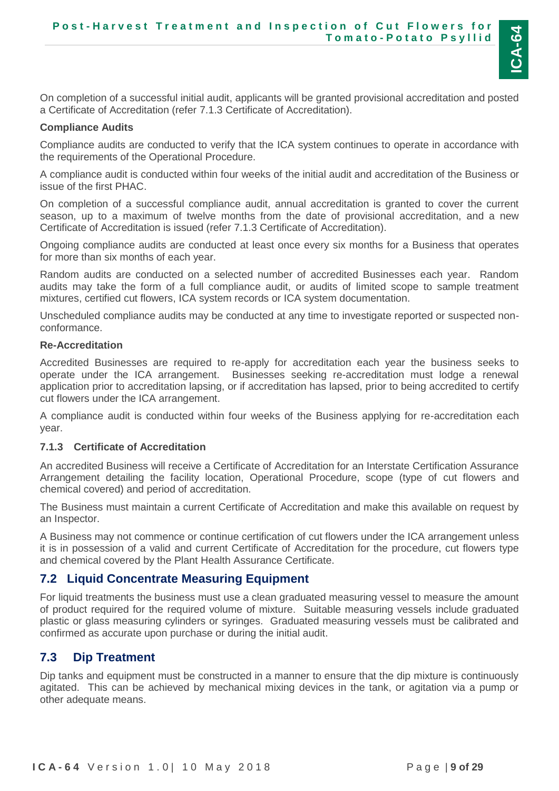**ICA-64**

On completion of a successful initial audit, applicants will be granted provisional accreditation and posted a Certificate of Accreditation (refer [7.1.3](#page-8-0) Certificate of Accreditation).

#### **Compliance Audits**

Compliance audits are conducted to verify that the ICA system continues to operate in accordance with the requirements of the Operational Procedure.

A compliance audit is conducted within four weeks of the initial audit and accreditation of the Business or issue of the first PHAC.

On completion of a successful compliance audit, annual accreditation is granted to cover the current season, up to a maximum of twelve months from the date of provisional accreditation, and a new Certificate of Accreditation is issued (refer [7.1.3](#page-8-0) Certificate of Accreditation).

Ongoing compliance audits are conducted at least once every six months for a Business that operates for more than six months of each year.

Random audits are conducted on a selected number of accredited Businesses each year. Random audits may take the form of a full compliance audit, or audits of limited scope to sample treatment mixtures, certified cut flowers, ICA system records or ICA system documentation.

Unscheduled compliance audits may be conducted at any time to investigate reported or suspected nonconformance.

#### **Re-Accreditation**

Accredited Businesses are required to re-apply for accreditation each year the business seeks to operate under the ICA arrangement. Businesses seeking re-accreditation must lodge a renewal application prior to accreditation lapsing, or if accreditation has lapsed, prior to being accredited to certify cut flowers under the ICA arrangement.

A compliance audit is conducted within four weeks of the Business applying for re-accreditation each year.

#### <span id="page-8-0"></span>**7.1.3 Certificate of Accreditation**

An accredited Business will receive a Certificate of Accreditation for an Interstate Certification Assurance Arrangement detailing the facility location, Operational Procedure, scope (type of cut flowers and chemical covered) and period of accreditation.

The Business must maintain a current Certificate of Accreditation and make this available on request by an Inspector.

A Business may not commence or continue certification of cut flowers under the ICA arrangement unless it is in possession of a valid and current Certificate of Accreditation for the procedure, cut flowers type and chemical covered by the Plant Health Assurance Certificate.

### <span id="page-8-1"></span>**7.2 Liquid Concentrate Measuring Equipment**

For liquid treatments the business must use a clean graduated measuring vessel to measure the amount of product required for the required volume of mixture. Suitable measuring vessels include graduated plastic or glass measuring cylinders or syringes. Graduated measuring vessels must be calibrated and confirmed as accurate upon purchase or during the initial audit.

### <span id="page-8-2"></span>**7.3 Dip Treatment**

Dip tanks and equipment must be constructed in a manner to ensure that the dip mixture is continuously agitated. This can be achieved by mechanical mixing devices in the tank, or agitation via a pump or other adequate means.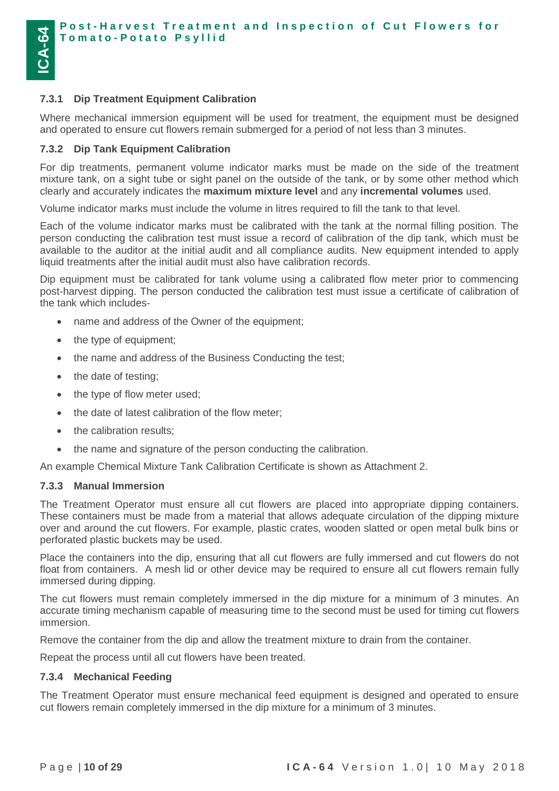#### <span id="page-9-0"></span>**7.3.1 Dip Treatment Equipment Calibration**

Where mechanical immersion equipment will be used for treatment, the equipment must be designed and operated to ensure cut flowers remain submerged for a period of not less than 3 minutes.

#### <span id="page-9-1"></span>**7.3.2 Dip Tank Equipment Calibration**

For dip treatments, permanent volume indicator marks must be made on the side of the treatment mixture tank, on a sight tube or sight panel on the outside of the tank, or by some other method which clearly and accurately indicates the **maximum mixture level** and any **incremental volumes** used.

Volume indicator marks must include the volume in litres required to fill the tank to that level.

Each of the volume indicator marks must be calibrated with the tank at the normal filling position. The person conducting the calibration test must issue a record of calibration of the dip tank, which must be available to the auditor at the initial audit and all compliance audits. New equipment intended to apply liquid treatments after the initial audit must also have calibration records.

Dip equipment must be calibrated for tank volume using a calibrated flow meter prior to commencing post-harvest dipping. The person conducted the calibration test must issue a certificate of calibration of the tank which includes-

- name and address of the Owner of the equipment;
- the type of equipment;
- the name and address of the Business Conducting the test;
- the date of testing;
- the type of flow meter used;
- the date of latest calibration of the flow meter;
- the calibration results;
- the name and signature of the person conducting the calibration.

An example Chemical Mixture Tank Calibration Certificate is shown as Attachment 2.

#### <span id="page-9-2"></span>**7.3.3 Manual Immersion**

The Treatment Operator must ensure all cut flowers are placed into appropriate dipping containers. These containers must be made from a material that allows adequate circulation of the dipping mixture over and around the cut flowers. For example, plastic crates, wooden slatted or open metal bulk bins or perforated plastic buckets may be used.

Place the containers into the dip, ensuring that all cut flowers are fully immersed and cut flowers do not float from containers. A mesh lid or other device may be required to ensure all cut flowers remain fully immersed during dipping.

The cut flowers must remain completely immersed in the dip mixture for a minimum of 3 minutes. An accurate timing mechanism capable of measuring time to the second must be used for timing cut flowers immersion.

Remove the container from the dip and allow the treatment mixture to drain from the container.

Repeat the process until all cut flowers have been treated.

#### <span id="page-9-3"></span>**7.3.4 Mechanical Feeding**

The Treatment Operator must ensure mechanical feed equipment is designed and operated to ensure cut flowers remain completely immersed in the dip mixture for a minimum of 3 minutes.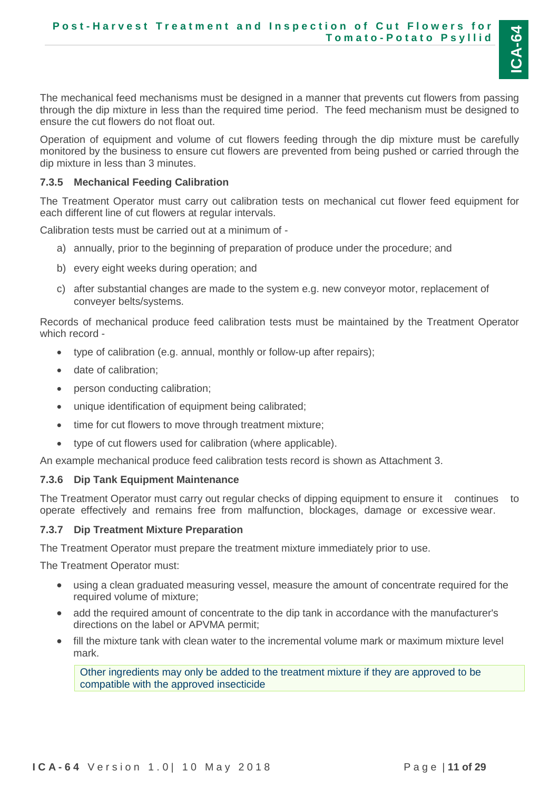

The mechanical feed mechanisms must be designed in a manner that prevents cut flowers from passing through the dip mixture in less than the required time period. The feed mechanism must be designed to ensure the cut flowers do not float out.

Operation of equipment and volume of cut flowers feeding through the dip mixture must be carefully monitored by the business to ensure cut flowers are prevented from being pushed or carried through the dip mixture in less than 3 minutes.

#### <span id="page-10-0"></span>**7.3.5 Mechanical Feeding Calibration**

The Treatment Operator must carry out calibration tests on mechanical cut flower feed equipment for each different line of cut flowers at regular intervals.

Calibration tests must be carried out at a minimum of -

- a) annually, prior to the beginning of preparation of produce under the procedure; and
- b) every eight weeks during operation; and
- c) after substantial changes are made to the system e.g. new conveyor motor, replacement of conveyer belts/systems.

Records of mechanical produce feed calibration tests must be maintained by the Treatment Operator which record -

- type of calibration (e.g. annual, monthly or follow-up after repairs);
- date of calibration;
- person conducting calibration;
- unique identification of equipment being calibrated;
- time for cut flowers to move through treatment mixture;
- type of cut flowers used for calibration (where applicable).

An example mechanical produce feed calibration tests record is shown as Attachment 3.

#### <span id="page-10-1"></span>**7.3.6 Dip Tank Equipment Maintenance**

The Treatment Operator must carry out regular checks of dipping equipment to ensure it continues to operate effectively and remains free from malfunction, blockages, damage or excessive wear.

#### <span id="page-10-2"></span>**7.3.7 Dip Treatment Mixture Preparation**

The Treatment Operator must prepare the treatment mixture immediately prior to use.

The Treatment Operator must:

- using a clean graduated measuring vessel, measure the amount of concentrate required for the required volume of mixture;
- add the required amount of concentrate to the dip tank in accordance with the manufacturer's directions on the label or APVMA permit;
- fill the mixture tank with clean water to the incremental volume mark or maximum mixture level mark.

Other ingredients may only be added to the treatment mixture if they are approved to be compatible with the approved insecticide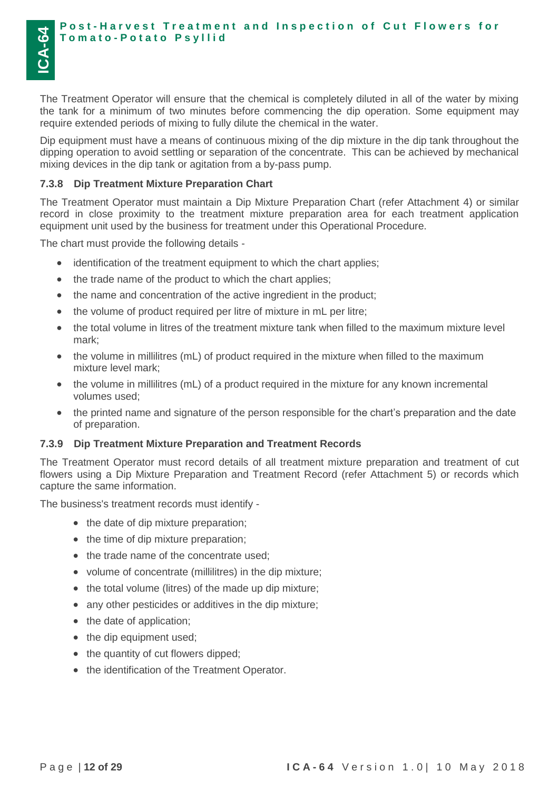The Treatment Operator will ensure that the chemical is completely diluted in all of the water by mixing the tank for a minimum of two minutes before commencing the dip operation. Some equipment may require extended periods of mixing to fully dilute the chemical in the water.

Dip equipment must have a means of continuous mixing of the dip mixture in the dip tank throughout the dipping operation to avoid settling or separation of the concentrate. This can be achieved by mechanical mixing devices in the dip tank or agitation from a by-pass pump.

#### <span id="page-11-0"></span>**7.3.8 Dip Treatment Mixture Preparation Chart**

The Treatment Operator must maintain a Dip Mixture Preparation Chart (refer Attachment 4) or similar record in close proximity to the treatment mixture preparation area for each treatment application equipment unit used by the business for treatment under this Operational Procedure.

The chart must provide the following details -

- identification of the treatment equipment to which the chart applies;
- the trade name of the product to which the chart applies;
- the name and concentration of the active ingredient in the product;
- the volume of product required per litre of mixture in mL per litre;
- the total volume in litres of the treatment mixture tank when filled to the maximum mixture level mark;
- the volume in millilitres (mL) of product required in the mixture when filled to the maximum mixture level mark;
- the volume in millilitres (mL) of a product required in the mixture for any known incremental volumes used;
- the printed name and signature of the person responsible for the chart's preparation and the date of preparation.

#### <span id="page-11-1"></span>**7.3.9 Dip Treatment Mixture Preparation and Treatment Records**

The Treatment Operator must record details of all treatment mixture preparation and treatment of cut flowers using a Dip Mixture Preparation and Treatment Record (refer Attachment 5) or records which capture the same information.

The business's treatment records must identify -

- the date of dip mixture preparation;
- the time of dip mixture preparation;
- the trade name of the concentrate used;
- volume of concentrate (millilitres) in the dip mixture;
- the total volume (litres) of the made up dip mixture;
- any other pesticides or additives in the dip mixture;
- the date of application;
- the dip equipment used;
- the quantity of cut flowers dipped;
- the identification of the Treatment Operator.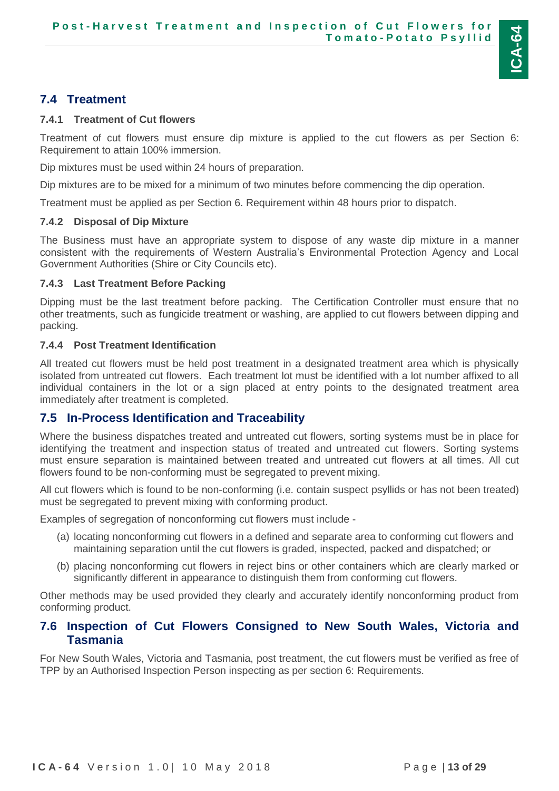## <span id="page-12-0"></span>**7.4 Treatment**

### <span id="page-12-1"></span>**7.4.1 Treatment of Cut flowers**

Treatment of cut flowers must ensure dip mixture is applied to the cut flowers as per Section 6: Requirement to attain 100% immersion.

Dip mixtures must be used within 24 hours of preparation.

Dip mixtures are to be mixed for a minimum of two minutes before commencing the dip operation.

Treatment must be applied as per Section 6. Requirement within 48 hours prior to dispatch.

## <span id="page-12-2"></span>**7.4.2 Disposal of Dip Mixture**

The Business must have an appropriate system to dispose of any waste dip mixture in a manner consistent with the requirements of Western Australia's Environmental Protection Agency and Local Government Authorities (Shire or City Councils etc).

## <span id="page-12-3"></span>**7.4.3 Last Treatment Before Packing**

Dipping must be the last treatment before packing. The Certification Controller must ensure that no other treatments, such as fungicide treatment or washing, are applied to cut flowers between dipping and packing.

## <span id="page-12-4"></span>**7.4.4 Post Treatment Identification**

All treated cut flowers must be held post treatment in a designated treatment area which is physically isolated from untreated cut flowers. Each treatment lot must be identified with a lot number affixed to all individual containers in the lot or a sign placed at entry points to the designated treatment area immediately after treatment is completed.

## <span id="page-12-5"></span>**7.5 In-Process Identification and Traceability**

Where the business dispatches treated and untreated cut flowers, sorting systems must be in place for identifying the treatment and inspection status of treated and untreated cut flowers. Sorting systems must ensure separation is maintained between treated and untreated cut flowers at all times. All cut flowers found to be non-conforming must be segregated to prevent mixing.

All cut flowers which is found to be non-conforming (i.e. contain suspect psyllids or has not been treated) must be segregated to prevent mixing with conforming product.

Examples of segregation of nonconforming cut flowers must include -

- (a) locating nonconforming cut flowers in a defined and separate area to conforming cut flowers and maintaining separation until the cut flowers is graded, inspected, packed and dispatched; or
- (b) placing nonconforming cut flowers in reject bins or other containers which are clearly marked or significantly different in appearance to distinguish them from conforming cut flowers.

Other methods may be used provided they clearly and accurately identify nonconforming product from conforming product.

## <span id="page-12-6"></span>**7.6 Inspection of Cut Flowers Consigned to New South Wales, Victoria and Tasmania**

For New South Wales, Victoria and Tasmania, post treatment, the cut flowers must be verified as free of TPP by an Authorised Inspection Person inspecting as per section 6: Requirements.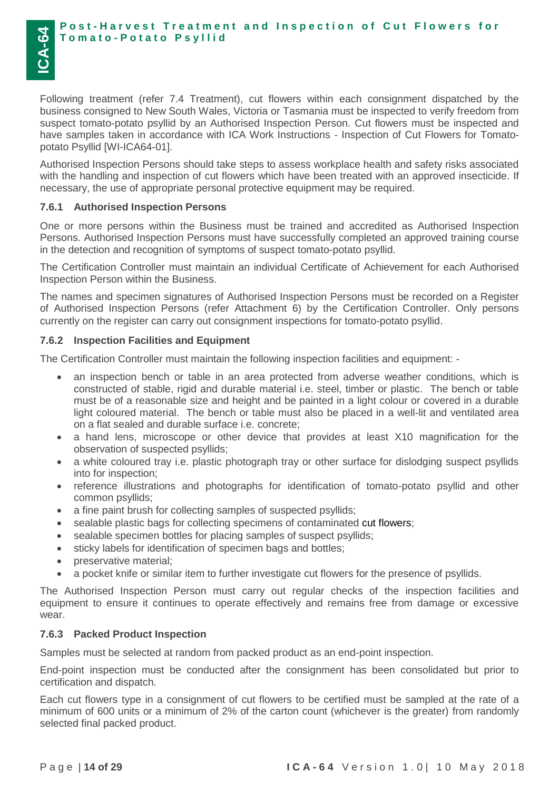#### **Post-Harvest Treatment and Inspection of Cut Flowers for T o m a t o - P o t a t o P s y l l i d**

Following treatment (refer 7.4 Treatment), cut flowers within each consignment dispatched by the business consigned to New South Wales, Victoria or Tasmania must be inspected to verify freedom from suspect tomato-potato psyllid by an Authorised Inspection Person. Cut flowers must be inspected and have samples taken in accordance with ICA Work Instructions - Inspection of Cut Flowers for Tomatopotato Psyllid [WI-ICA64-01].

Authorised Inspection Persons should take steps to assess workplace health and safety risks associated with the handling and inspection of cut flowers which have been treated with an approved insecticide. If necessary, the use of appropriate personal protective equipment may be required.

#### <span id="page-13-0"></span>**7.6.1 Authorised Inspection Persons**

One or more persons within the Business must be trained and accredited as Authorised Inspection Persons. Authorised Inspection Persons must have successfully completed an approved training course in the detection and recognition of symptoms of suspect tomato-potato psyllid.

The Certification Controller must maintain an individual Certificate of Achievement for each Authorised Inspection Person within the Business.

The names and specimen signatures of Authorised Inspection Persons must be recorded on a Register of Authorised Inspection Persons (refer Attachment 6) by the Certification Controller. Only persons currently on the register can carry out consignment inspections for tomato-potato psyllid.

#### <span id="page-13-1"></span>**7.6.2 Inspection Facilities and Equipment**

The Certification Controller must maintain the following inspection facilities and equipment: -

- an inspection bench or table in an area protected from adverse weather conditions, which is constructed of stable, rigid and durable material i.e. steel, timber or plastic. The bench or table must be of a reasonable size and height and be painted in a light colour or covered in a durable light coloured material. The bench or table must also be placed in a well-lit and ventilated area on a flat sealed and durable surface i.e. concrete;
- a hand lens, microscope or other device that provides at least X10 magnification for the observation of suspected psyllids;
- a white coloured tray i.e. plastic photograph tray or other surface for dislodging suspect psyllids into for inspection;
- reference illustrations and photographs for identification of tomato-potato psyllid and other common psyllids;
- a fine paint brush for collecting samples of suspected psyllids;
- sealable plastic bags for collecting specimens of contaminated cut flowers;
- sealable specimen bottles for placing samples of suspect psyllids;
- sticky labels for identification of specimen bags and bottles;
- preservative material;
- a pocket knife or similar item to further investigate cut flowers for the presence of psyllids.

The Authorised Inspection Person must carry out regular checks of the inspection facilities and equipment to ensure it continues to operate effectively and remains free from damage or excessive wear.

#### <span id="page-13-2"></span>**7.6.3 Packed Product Inspection**

Samples must be selected at random from packed product as an end-point inspection.

End-point inspection must be conducted after the consignment has been consolidated but prior to certification and dispatch.

Each cut flowers type in a consignment of cut flowers to be certified must be sampled at the rate of a minimum of 600 units or a minimum of 2% of the carton count (whichever is the greater) from randomly selected final packed product.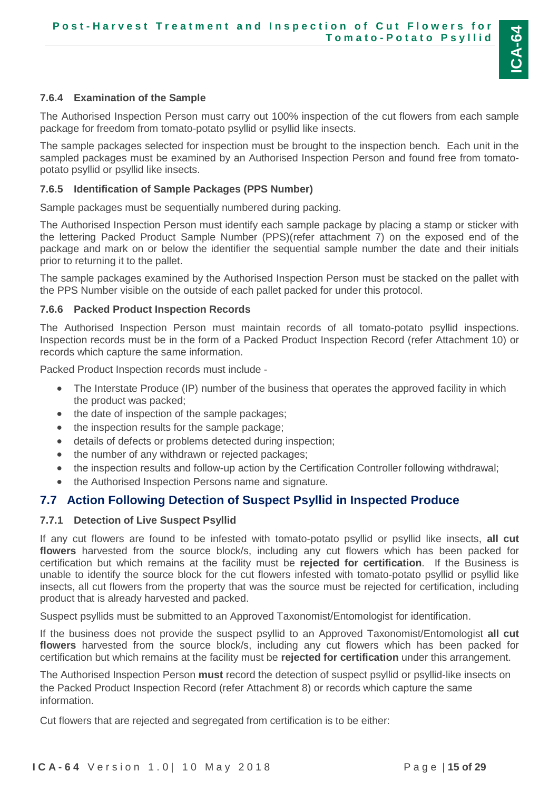

## <span id="page-14-0"></span>**7.6.4 Examination of the Sample**

The Authorised Inspection Person must carry out 100% inspection of the cut flowers from each sample package for freedom from tomato-potato psyllid or psyllid like insects.

The sample packages selected for inspection must be brought to the inspection bench. Each unit in the sampled packages must be examined by an Authorised Inspection Person and found free from tomatopotato psyllid or psyllid like insects.

#### <span id="page-14-1"></span>**7.6.5 Identification of Sample Packages (PPS Number)**

Sample packages must be sequentially numbered during packing.

The Authorised Inspection Person must identify each sample package by placing a stamp or sticker with the lettering Packed Product Sample Number (PPS)(refer attachment 7) on the exposed end of the package and mark on or below the identifier the sequential sample number the date and their initials prior to returning it to the pallet.

The sample packages examined by the Authorised Inspection Person must be stacked on the pallet with the PPS Number visible on the outside of each pallet packed for under this protocol.

#### <span id="page-14-2"></span>**7.6.6 Packed Product Inspection Records**

The Authorised Inspection Person must maintain records of all tomato-potato psyllid inspections. Inspection records must be in the form of a Packed Product Inspection Record (refer Attachment 10) or records which capture the same information.

Packed Product Inspection records must include -

- The Interstate Produce (IP) number of the business that operates the approved facility in which the product was packed;
- the date of inspection of the sample packages;
- the inspection results for the sample package;
- details of defects or problems detected during inspection;
- the number of any withdrawn or rejected packages;
- the inspection results and follow-up action by the Certification Controller following withdrawal;
- the Authorised Inspection Persons name and signature.

### <span id="page-14-3"></span>**7.7 Action Following Detection of Suspect Psyllid in Inspected Produce**

#### <span id="page-14-4"></span>**7.7.1 Detection of Live Suspect Psyllid**

If any cut flowers are found to be infested with tomato-potato psyllid or psyllid like insects, **all cut flowers** harvested from the source block/s, including any cut flowers which has been packed for certification but which remains at the facility must be **rejected for certification**. If the Business is unable to identify the source block for the cut flowers infested with tomato-potato psyllid or psyllid like insects, all cut flowers from the property that was the source must be rejected for certification, including product that is already harvested and packed.

Suspect psyllids must be submitted to an Approved Taxonomist/Entomologist for identification.

If the business does not provide the suspect psyllid to an Approved Taxonomist/Entomologist **all cut flowers** harvested from the source block/s, including any cut flowers which has been packed for certification but which remains at the facility must be **rejected for certification** under this arrangement.

The Authorised Inspection Person **must** record the detection of suspect psyllid or psyllid-like insects on the Packed Product Inspection Record (refer Attachment 8) or records which capture the same information.

Cut flowers that are rejected and segregated from certification is to be either: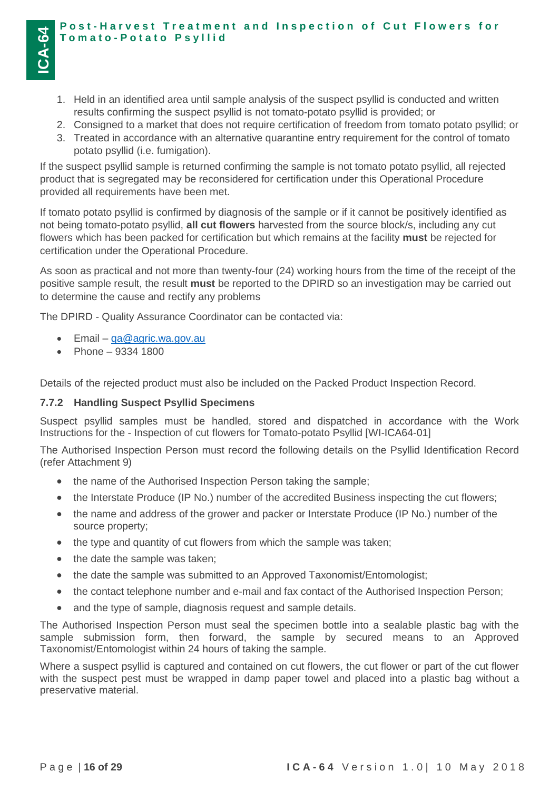- 1. Held in an identified area until sample analysis of the suspect psyllid is conducted and written results confirming the suspect psyllid is not tomato-potato psyllid is provided; or
- 2. Consigned to a market that does not require certification of freedom from tomato potato psyllid; or
- 3. Treated in accordance with an alternative quarantine entry requirement for the control of tomato potato psyllid (i.e. fumigation).

If the suspect psyllid sample is returned confirming the sample is not tomato potato psyllid, all rejected product that is segregated may be reconsidered for certification under this Operational Procedure provided all requirements have been met.

If tomato potato psyllid is confirmed by diagnosis of the sample or if it cannot be positively identified as not being tomato-potato psyllid, **all cut flowers** harvested from the source block/s, including any cut flowers which has been packed for certification but which remains at the facility **must** be rejected for certification under the Operational Procedure.

As soon as practical and not more than twenty-four (24) working hours from the time of the receipt of the positive sample result, the result **must** be reported to the DPIRD so an investigation may be carried out to determine the cause and rectify any problems

The DPIRD - Quality Assurance Coordinator can be contacted via:

- $\bullet$  Email  $qa@agric.wa.gov.au$
- Phone  $9334 1800$

**ICA-64**

Details of the rejected product must also be included on the Packed Product Inspection Record.

#### <span id="page-15-0"></span>**7.7.2 Handling Suspect Psyllid Specimens**

Suspect psyllid samples must be handled, stored and dispatched in accordance with the Work Instructions for the - Inspection of cut flowers for Tomato-potato Psyllid [WI-ICA64-01]

The Authorised Inspection Person must record the following details on the Psyllid Identification Record (refer Attachment 9)

- the name of the Authorised Inspection Person taking the sample;
- the Interstate Produce (IP No.) number of the accredited Business inspecting the cut flowers;
- the name and address of the grower and packer or Interstate Produce (IP No.) number of the source property;
- the type and quantity of cut flowers from which the sample was taken;
- the date the sample was taken;
- the date the sample was submitted to an Approved Taxonomist/Entomologist;
- the contact telephone number and e-mail and fax contact of the Authorised Inspection Person;
- and the type of sample, diagnosis request and sample details.

The Authorised Inspection Person must seal the specimen bottle into a sealable plastic bag with the sample submission form, then forward, the sample by secured means to an Approved Taxonomist/Entomologist within 24 hours of taking the sample.

Where a suspect psyllid is captured and contained on cut flowers, the cut flower or part of the cut flower with the suspect pest must be wrapped in damp paper towel and placed into a plastic bag without a preservative material.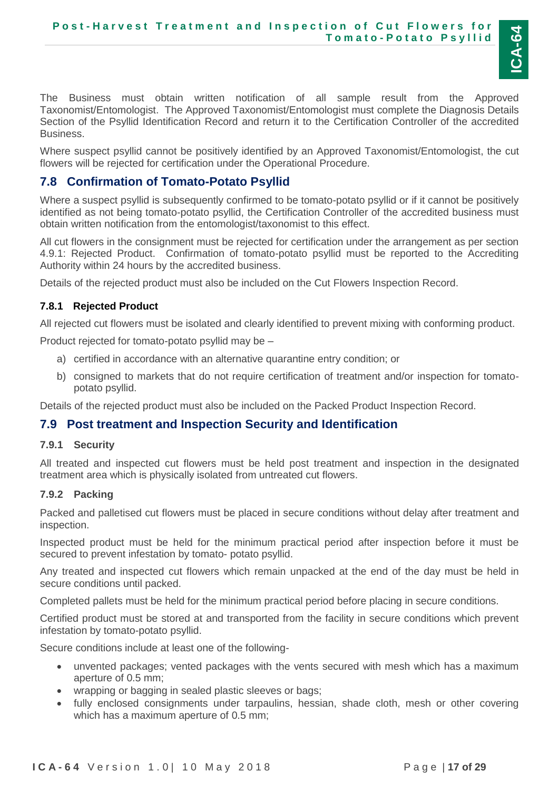

The Business must obtain written notification of all sample result from the Approved Taxonomist/Entomologist. The Approved Taxonomist/Entomologist must complete the Diagnosis Details Section of the Psyllid Identification Record and return it to the Certification Controller of the accredited Business.

Where suspect psyllid cannot be positively identified by an Approved Taxonomist/Entomologist, the cut flowers will be rejected for certification under the Operational Procedure.

### <span id="page-16-0"></span>**7.8 Confirmation of Tomato-Potato Psyllid**

Where a suspect psyllid is subsequently confirmed to be tomato-potato psyllid or if it cannot be positively identified as not being tomato-potato psyllid, the Certification Controller of the accredited business must obtain written notification from the entomologist/taxonomist to this effect.

All cut flowers in the consignment must be rejected for certification under the arrangement as per section 4.9.1: Rejected Product. Confirmation of tomato-potato psyllid must be reported to the Accrediting Authority within 24 hours by the accredited business.

Details of the rejected product must also be included on the Cut Flowers Inspection Record.

#### **7.8.1 Rejected Product**

All rejected cut flowers must be isolated and clearly identified to prevent mixing with conforming product.

Product rejected for tomato-potato psyllid may be –

- a) certified in accordance with an alternative quarantine entry condition; or
- b) consigned to markets that do not require certification of treatment and/or inspection for tomatopotato psyllid.

Details of the rejected product must also be included on the Packed Product Inspection Record.

#### <span id="page-16-1"></span>**7.9 Post treatment and Inspection Security and Identification**

#### <span id="page-16-2"></span>**7.9.1 Security**

All treated and inspected cut flowers must be held post treatment and inspection in the designated treatment area which is physically isolated from untreated cut flowers.

#### <span id="page-16-3"></span>**7.9.2 Packing**

Packed and palletised cut flowers must be placed in secure conditions without delay after treatment and inspection.

Inspected product must be held for the minimum practical period after inspection before it must be secured to prevent infestation by tomato- potato psyllid.

Any treated and inspected cut flowers which remain unpacked at the end of the day must be held in secure conditions until packed.

Completed pallets must be held for the minimum practical period before placing in secure conditions.

Certified product must be stored at and transported from the facility in secure conditions which prevent infestation by tomato-potato psyllid.

Secure conditions include at least one of the following-

- unvented packages; vented packages with the vents secured with mesh which has a maximum aperture of 0.5 mm;
- wrapping or bagging in sealed plastic sleeves or bags;
- fully enclosed consignments under tarpaulins, hessian, shade cloth, mesh or other covering which has a maximum aperture of 0.5 mm;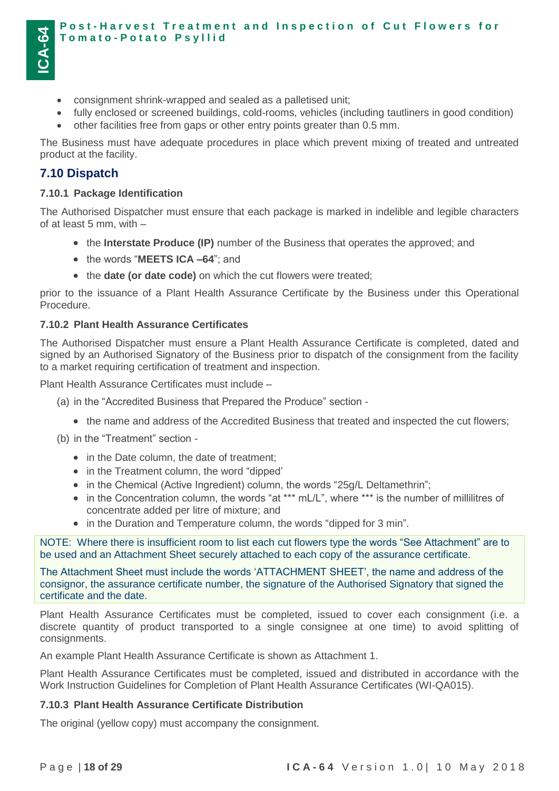#### **Post-Harvest Treatment and Inspection of Cut Flowers for T o m a t o - P o t a t o P s y l l i d**

- consignment shrink-wrapped and sealed as a palletised unit;
- fully enclosed or screened buildings, cold-rooms, vehicles (including tautliners in good condition)
- other facilities free from gaps or other entry points greater than 0.5 mm.

The Business must have adequate procedures in place which prevent mixing of treated and untreated product at the facility.

### <span id="page-17-0"></span>**7.10 Dispatch**

#### <span id="page-17-1"></span>**7.10.1 Package Identification**

The Authorised Dispatcher must ensure that each package is marked in indelible and legible characters of at least 5 mm, with –

- the **Interstate Produce (IP)** number of the Business that operates the approved; and
- the words "**MEETS ICA -64**"; and
- the **date (or date code)** on which the cut flowers were treated;

prior to the issuance of a Plant Health Assurance Certificate by the Business under this Operational Procedure.

#### <span id="page-17-2"></span>**7.10.2 Plant Health Assurance Certificates**

The Authorised Dispatcher must ensure a Plant Health Assurance Certificate is completed, dated and signed by an Authorised Signatory of the Business prior to dispatch of the consignment from the facility to a market requiring certification of treatment and inspection.

Plant Health Assurance Certificates must include –

- (a) in the "Accredited Business that Prepared the Produce" section
	- the name and address of the Accredited Business that treated and inspected the cut flowers;

(b) in the "Treatment" section -

- in the Date column, the date of treatment;
- in the Treatment column, the word "dipped"
- in the Chemical (Active Ingredient) column, the words "25g/L Deltamethrin";
- in the Concentration column, the words "at \*\*\* mL/L", where \*\*\* is the number of millilitres of concentrate added per litre of mixture; and
- in the Duration and Temperature column, the words "dipped for 3 min".

NOTE: Where there is insufficient room to list each cut flowers type the words "See Attachment" are to be used and an Attachment Sheet securely attached to each copy of the assurance certificate.

The Attachment Sheet must include the words 'ATTACHMENT SHEET', the name and address of the consignor, the assurance certificate number, the signature of the Authorised Signatory that signed the certificate and the date.

Plant Health Assurance Certificates must be completed, issued to cover each consignment (i.e. a discrete quantity of product transported to a single consignee at one time) to avoid splitting of consignments.

An example Plant Health Assurance Certificate is shown as Attachment 1.

Plant Health Assurance Certificates must be completed, issued and distributed in accordance with the Work Instruction Guidelines for Completion of Plant Health Assurance Certificates (WI-QA015).

#### <span id="page-17-3"></span>**7.10.3 Plant Health Assurance Certificate Distribution**

The original (yellow copy) must accompany the consignment.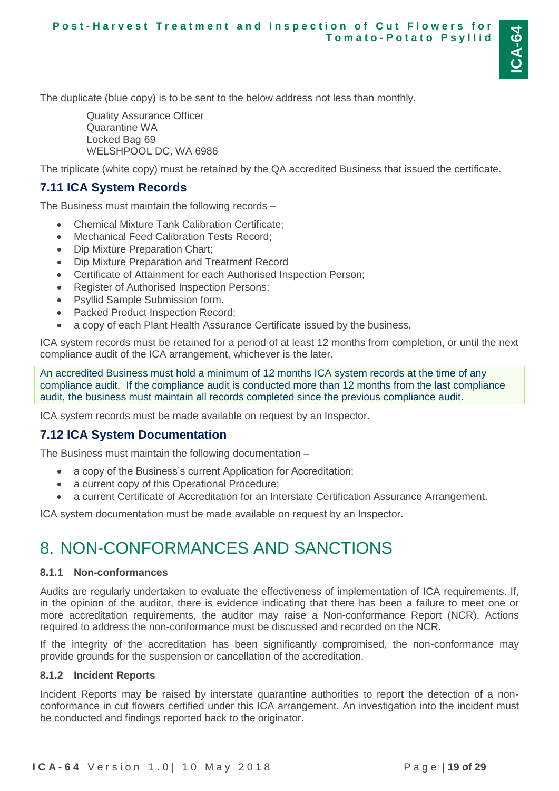The duplicate (blue copy) is to be sent to the below address not less than monthly.

Quality Assurance Officer Quarantine WA Locked Bag 69 WELSHPOOL DC, WA 6986

The triplicate (white copy) must be retained by the QA accredited Business that issued the certificate.

## <span id="page-18-0"></span>**7.11 ICA System Records**

The Business must maintain the following records –

- Chemical Mixture Tank Calibration Certificate;
- Mechanical Feed Calibration Tests Record;
- Dip Mixture Preparation Chart;
- Dip Mixture Preparation and Treatment Record
- Certificate of Attainment for each Authorised Inspection Person;
- Register of Authorised Inspection Persons;
- Psyllid Sample Submission form.
- Packed Product Inspection Record;
- a copy of each Plant Health Assurance Certificate issued by the business.

ICA system records must be retained for a period of at least 12 months from completion, or until the next compliance audit of the ICA arrangement, whichever is the later.

An accredited Business must hold a minimum of 12 months ICA system records at the time of any compliance audit. If the compliance audit is conducted more than 12 months from the last compliance audit, the business must maintain all records completed since the previous compliance audit.

ICA system records must be made available on request by an Inspector.

## <span id="page-18-1"></span>**7.12 ICA System Documentation**

The Business must maintain the following documentation –

- a copy of the Business's current Application for Accreditation;
- a current copy of this Operational Procedure;
- a current Certificate of Accreditation for an Interstate Certification Assurance Arrangement.

ICA system documentation must be made available on request by an Inspector.

# <span id="page-18-2"></span>8. NON-CONFORMANCES AND SANCTIONS

### <span id="page-18-3"></span>**8.1.1 Non-conformances**

Audits are regularly undertaken to evaluate the effectiveness of implementation of ICA requirements. If, in the opinion of the auditor, there is evidence indicating that there has been a failure to meet one or more accreditation requirements, the auditor may raise a Non-conformance Report (NCR). Actions required to address the non-conformance must be discussed and recorded on the NCR.

If the integrity of the accreditation has been significantly compromised, the non-conformance may provide grounds for the suspension or cancellation of the accreditation.

## <span id="page-18-4"></span>**8.1.2 Incident Reports**

Incident Reports may be raised by interstate quarantine authorities to report the detection of a nonconformance in cut flowers certified under this ICA arrangement. An investigation into the incident must be conducted and findings reported back to the originator.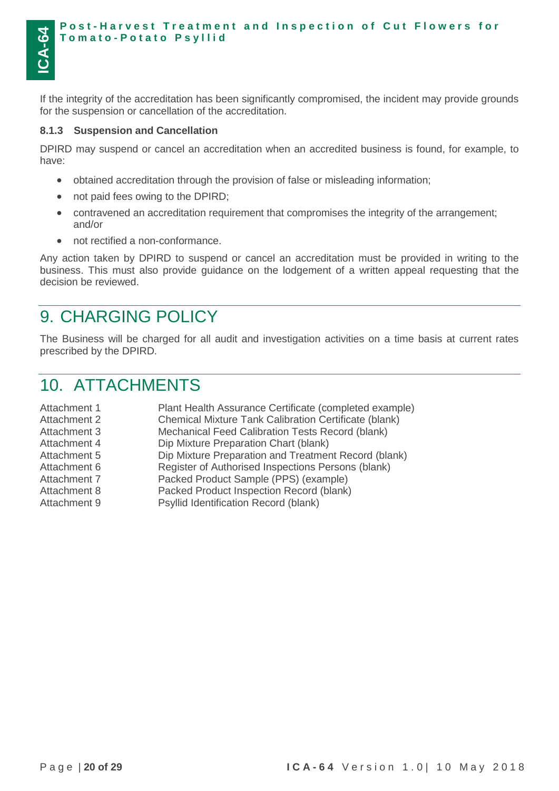#### **Post-Harvest Treatment and Inspection of Cut Flowers for T o m a t o - P o t a t o P s y l l i d**

If the integrity of the accreditation has been significantly compromised, the incident may provide grounds for the suspension or cancellation of the accreditation.

#### <span id="page-19-0"></span>**8.1.3 Suspension and Cancellation**

DPIRD may suspend or cancel an accreditation when an accredited business is found, for example, to have:

- obtained accreditation through the provision of false or misleading information;
- not paid fees owing to the DPIRD;
- contravened an accreditation requirement that compromises the integrity of the arrangement; and/or
- not rectified a non-conformance.

Any action taken by DPIRD to suspend or cancel an accreditation must be provided in writing to the business. This must also provide guidance on the lodgement of a written appeal requesting that the decision be reviewed.

## <span id="page-19-1"></span>9. CHARGING POLICY

The Business will be charged for all audit and investigation activities on a time basis at current rates prescribed by the DPIRD.

## <span id="page-19-2"></span>10. ATTACHMENTS

| Plant Health Assurance Certificate (completed example) |
|--------------------------------------------------------|
| Chemical Mixture Tank Calibration Certificate (blank)  |
| Mechanical Feed Calibration Tests Record (blank)       |
| Dip Mixture Preparation Chart (blank)                  |
| Dip Mixture Preparation and Treatment Record (blank)   |
| Register of Authorised Inspections Persons (blank)     |
| Packed Product Sample (PPS) (example)                  |
| Packed Product Inspection Record (blank)               |
| Psyllid Identification Record (blank)                  |
|                                                        |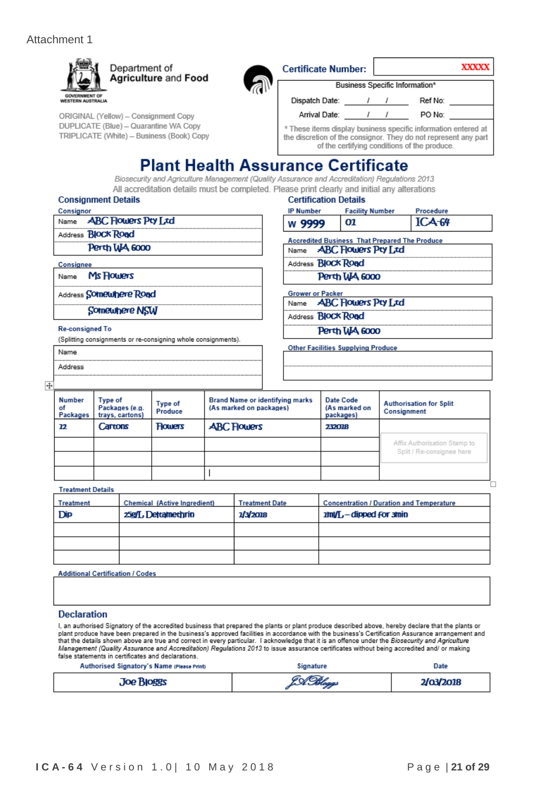#### Attachment 1



| ORIGINAL (Yellow) - Consignment Copy      |
|-------------------------------------------|
| DUPLICATE (Blue) - Quarantine WA Copy     |
| TRIPLICATE (White) - Business (Book) Copy |

| <b>Certificate Number:</b>                                                                                                                                                        |            |  | XXXX    |  |  |  |  |
|-----------------------------------------------------------------------------------------------------------------------------------------------------------------------------------|------------|--|---------|--|--|--|--|
| Business Specific Information*                                                                                                                                                    |            |  |         |  |  |  |  |
| Dispatch Date:                                                                                                                                                                    | $\sqrt{1}$ |  | Ref No: |  |  |  |  |
| Arrival Date:                                                                                                                                                                     |            |  | PO No:  |  |  |  |  |
| * These items display business specific information entered at<br>the discretion of the consignor. They do not represent any part<br>of the certifying conditions of the produce. |            |  |         |  |  |  |  |

## **Plant Health Assurance Certificate**

Biosecurity and Agriculture Management (Quality Assurance and Accreditation) Regulations 2013 All accreditation details must be completed. Please print clearly and initial any alterations

#### **Consignment Details**

Address Somewhere Road

Somewhere NSW

#### **Re-consigned To**

Name Address

(Splitting consignments or re-consigning whole consignments).

#### **Certification Details IP Number Facility Number**

| W | - 9999 | m | $\sim$<br>4-64 |
|---|--------|---|----------------|
|   |        |   |                |

Procedure

**Accredited Business That Prepared The Produce** Name **ABC Flowers Pty Ltd** 

Address **Block Road** 

Perth WA 6000

**Grower or Packer** 

**ABC Flowers Pty Ltd** Name

Address **Block Road** 

Perth WA 6000

**Other Facilities Supplying Produce** 

| <b>Number</b><br>οf<br>Packages | Type of<br>Packages (e.g.<br>trays, cartons) | Type of<br>Produce | <b>Brand Name or identifying marks</b><br>(As marked on packages) | Date Code<br>(As marked on<br>packages) | <b>Authorisation for Split</b><br>Consignment |
|---------------------------------|----------------------------------------------|--------------------|-------------------------------------------------------------------|-----------------------------------------|-----------------------------------------------|
| 12                              | Cartons                                      | <b>Flowers</b>     | <b>ABC Flowers</b>                                                | 232018                                  |                                               |
|                                 |                                              |                    |                                                                   |                                         | Affix Authorisation Stamp to                  |
|                                 |                                              |                    |                                                                   |                                         | Split / Re-consignee here                     |
|                                 |                                              |                    |                                                                   |                                         |                                               |
| _ _ _ _ _                       |                                              |                    |                                                                   |                                         |                                               |

#### **Treatment Details**

| <b>Treatment</b> | Chemical (Active Ingredient) | <b>Treatment Date</b> | <b>Concentration / Duration and Temperature</b> |
|------------------|------------------------------|-----------------------|-------------------------------------------------|
| <b>Dip</b>       | 25g/L Detamethrin            | 1/3/2018              | $2m/L$ - dipped for smin                        |
|                  |                              |                       |                                                 |
|                  |                              |                       |                                                 |
|                  |                              |                       |                                                 |

**Additional Certification / Codes** 

#### **Declaration**

I, an authorised Signatory of the accredited business that prepared the plants or plant produce described above, hereby declare that the plants or<br>plant produce have been prepared in the business's approved facilities in a that the details shown above are true and correct in every particular. I acknowledge that it is an offence under the Biosecurity and Agriculture Management (Quality Assurance and Accreditation) Regulations 2013 to issue assurance certificates without being accredited and/ or making false statements in certificates and declarations.

| Authorised Signatory's Name (Please Print) | Signature | Date      |
|--------------------------------------------|-----------|-----------|
| <b>Joe Bloggs</b>                          | LA Hloggs | 2/03/2018 |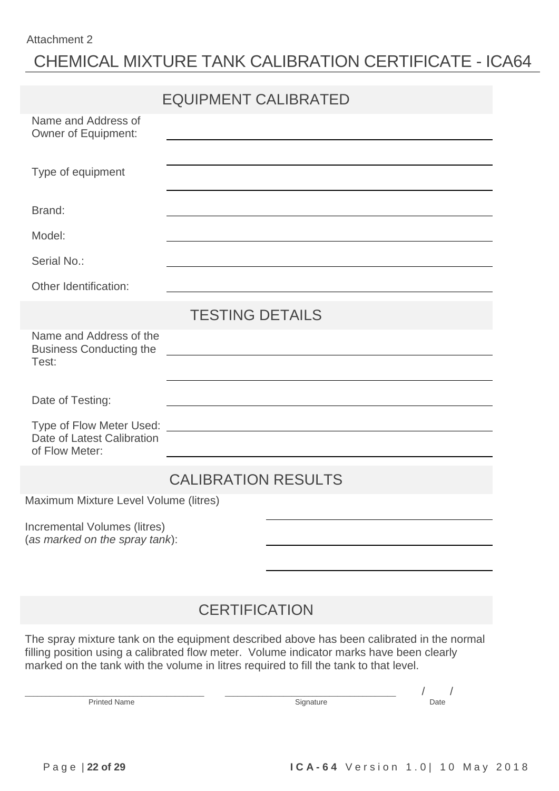#### Attachment 2

# CHEMICAL MIXTURE TANK CALIBRATION CERTIFICATE - ICA64

|                                                                | <b>EQUIPMENT CALIBRATED</b>                                                                                           |
|----------------------------------------------------------------|-----------------------------------------------------------------------------------------------------------------------|
| Name and Address of<br><b>Owner of Equipment:</b>              | <u> 1980 - John Stein, Amerikaansk politiker (* 1950)</u>                                                             |
| Type of equipment                                              |                                                                                                                       |
| Brand:                                                         |                                                                                                                       |
| Model:                                                         |                                                                                                                       |
| Serial No.:                                                    |                                                                                                                       |
| Other Identification:                                          | <u> 1989 - Johann Barn, amerikansk politiker (d. 1989)</u>                                                            |
|                                                                | <b>TESTING DETAILS</b>                                                                                                |
| Name and Address of the<br><b>Business Conducting the</b>      | <u> 1989 - Johann Stoff, deutscher Stoffen und der Stoffen und der Stoffen und der Stoffen und der Stoffen und de</u> |
| Test:                                                          |                                                                                                                       |
| Date of Testing:                                               | <u> 1989 - Johann John Stone, markin film yn y brening yn y brening yn y brening yn y brening y brening yn y bre</u>  |
| Date of Latest Calibration                                     |                                                                                                                       |
| of Flow Meter:                                                 | and the control of the control of the control of the control of the control of the control of the control of the      |
|                                                                | <b>CALIBRATION RESULTS</b>                                                                                            |
| Maximum Mixture Level Volume (litres)                          |                                                                                                                       |
| Incremental Volumes (litres)<br>(as marked on the spray tank): |                                                                                                                       |
|                                                                |                                                                                                                       |
|                                                                | <b>CERTIFICATION</b>                                                                                                  |

The spray mixture tank on the equipment described above has been calibrated in the normal filling position using a calibrated flow meter. Volume indicator marks have been clearly marked on the tank with the volume in litres required to fill the tank to that level.

Printed Name Date

\_\_\_\_\_\_\_\_\_\_\_\_\_\_\_\_\_\_\_\_\_\_\_\_\_\_\_\_\_\_\_\_\_\_\_\_\_\_\_\_\_\_\_ \_\_\_\_\_\_\_\_\_\_\_\_\_\_\_\_\_\_\_\_\_\_\_\_\_\_\_\_\_\_\_\_\_\_\_\_\_\_\_\_\_ / /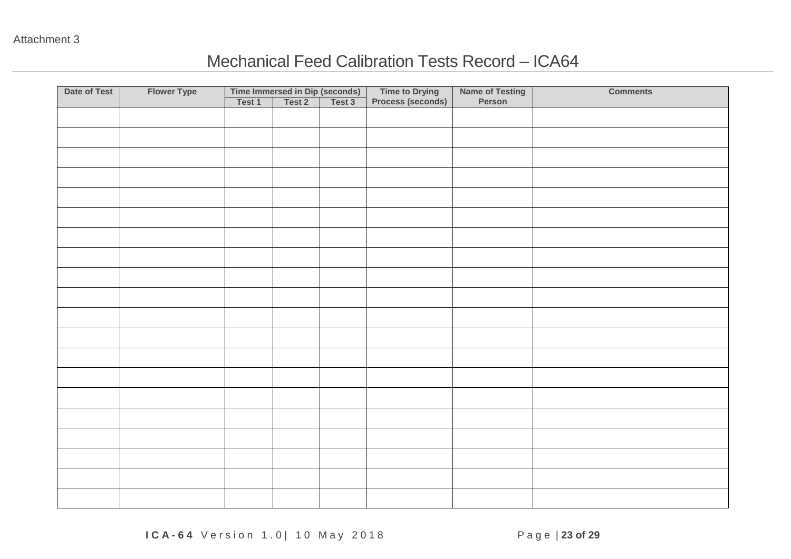## Mechanical Feed Calibration Tests Record – ICA64

| Date of Test | <b>Flower Type</b><br>Time Immersed in Dip (seconds)<br>Test 1   Test 2   Test 3 |  | Time to Drying<br>Process (seconds) | Name of Testing<br>Person | <b>Comments</b> |  |
|--------------|----------------------------------------------------------------------------------|--|-------------------------------------|---------------------------|-----------------|--|
|              |                                                                                  |  |                                     |                           |                 |  |
|              |                                                                                  |  |                                     |                           |                 |  |
|              |                                                                                  |  |                                     |                           |                 |  |
|              |                                                                                  |  |                                     |                           |                 |  |
|              |                                                                                  |  |                                     |                           |                 |  |
|              |                                                                                  |  |                                     |                           |                 |  |
|              |                                                                                  |  |                                     |                           |                 |  |
|              |                                                                                  |  |                                     |                           |                 |  |
|              |                                                                                  |  |                                     |                           |                 |  |
|              |                                                                                  |  |                                     |                           |                 |  |
|              |                                                                                  |  |                                     |                           |                 |  |
|              |                                                                                  |  |                                     |                           |                 |  |
|              |                                                                                  |  |                                     |                           |                 |  |
|              |                                                                                  |  |                                     |                           |                 |  |
|              |                                                                                  |  |                                     |                           |                 |  |
|              |                                                                                  |  |                                     |                           |                 |  |
|              |                                                                                  |  |                                     |                           |                 |  |
|              |                                                                                  |  |                                     |                           |                 |  |
|              |                                                                                  |  |                                     |                           |                 |  |
|              |                                                                                  |  |                                     |                           |                 |  |
|              |                                                                                  |  |                                     |                           |                 |  |
|              |                                                                                  |  |                                     |                           |                 |  |
|              |                                                                                  |  |                                     |                           |                 |  |
|              |                                                                                  |  |                                     |                           |                 |  |
|              |                                                                                  |  |                                     |                           |                 |  |
|              |                                                                                  |  |                                     |                           |                 |  |
|              |                                                                                  |  |                                     |                           |                 |  |
|              |                                                                                  |  |                                     |                           |                 |  |
|              |                                                                                  |  |                                     |                           |                 |  |
|              |                                                                                  |  |                                     |                           |                 |  |
|              |                                                                                  |  |                                     |                           |                 |  |
|              |                                                                                  |  |                                     |                           |                 |  |
|              |                                                                                  |  |                                     |                           |                 |  |
|              |                                                                                  |  |                                     |                           |                 |  |
|              |                                                                                  |  |                                     |                           |                 |  |
|              |                                                                                  |  |                                     |                           |                 |  |
|              |                                                                                  |  |                                     |                           |                 |  |
|              |                                                                                  |  |                                     |                           |                 |  |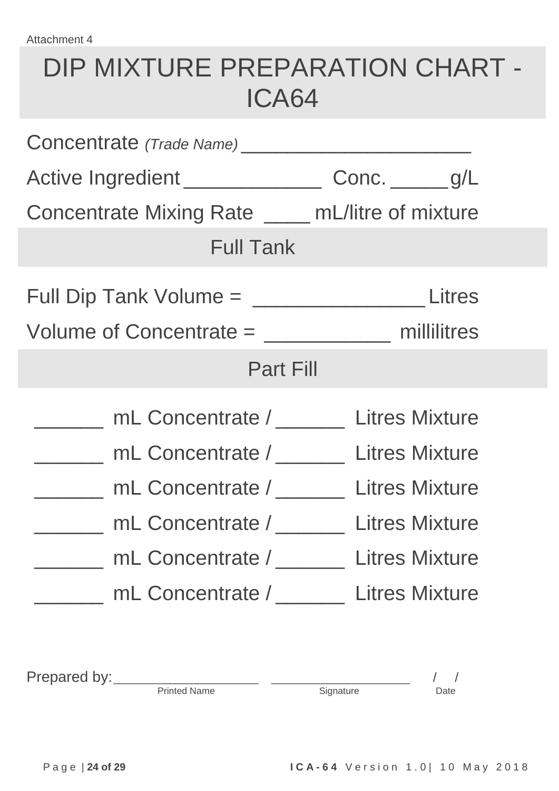# DIP MIXTURE PREPARATION CHART - ICA64

|                       | Active Ingredient ________________________ Conc. _______ g/L |  |  |  |  |  |
|-----------------------|--------------------------------------------------------------|--|--|--|--|--|
|                       | Concentrate Mixing Rate _____ mL/litre of mixture            |  |  |  |  |  |
|                       | <b>Full Tank</b>                                             |  |  |  |  |  |
|                       | Full Dip Tank Volume = _________________________Litres       |  |  |  |  |  |
|                       | Volume of Concentrate $=$ _________________ millilitres      |  |  |  |  |  |
|                       | <b>Part Fill</b>                                             |  |  |  |  |  |
|                       | mL Concentrate / Litres Mixture                              |  |  |  |  |  |
|                       | mL Concentrate / Litres Mixture                              |  |  |  |  |  |
|                       | _____ mL Concentrate / _____ Litres Mixture                  |  |  |  |  |  |
|                       | mL Concentrate / Litres Mixture                              |  |  |  |  |  |
| <b>Litres Mixture</b> | mL Concentrate /                                             |  |  |  |  |  |
|                       | mL Concentrate / ________ Litres Mixture                     |  |  |  |  |  |

Printed Name Signature Signature Date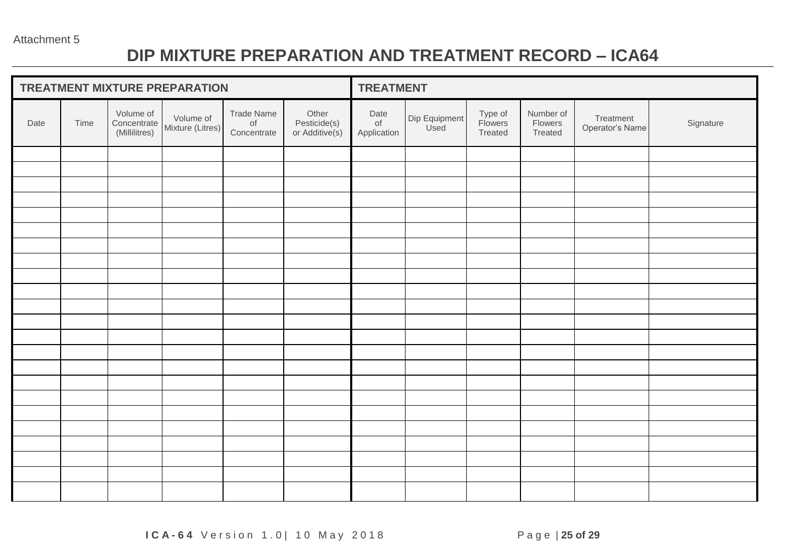# **DIP MIXTURE PREPARATION AND TREATMENT RECORD – ICA64**

| TREATMENT MIXTURE PREPARATION |      |                                           |                               |                                        | <b>TREATMENT</b>                        |                           |                       |                               |                                 |                              |           |
|-------------------------------|------|-------------------------------------------|-------------------------------|----------------------------------------|-----------------------------------------|---------------------------|-----------------------|-------------------------------|---------------------------------|------------------------------|-----------|
| Date                          | Time | Volume of<br>Concentrate<br>(Millilitres) | Volume of<br>Mixture (Litres) | Trade Name<br>$\circ$ f<br>Concentrate | Other<br>Pesticide(s)<br>or Additive(s) | Date<br>of<br>Application | Dip Equipment<br>Used | Type of<br>Flowers<br>Treated | Number of<br>Flowers<br>Treated | Treatment<br>Operator's Name | Signature |
|                               |      |                                           |                               |                                        |                                         |                           |                       |                               |                                 |                              |           |
|                               |      |                                           |                               |                                        |                                         |                           |                       |                               |                                 |                              |           |
|                               |      |                                           |                               |                                        |                                         |                           |                       |                               |                                 |                              |           |
|                               |      |                                           |                               |                                        |                                         |                           |                       |                               |                                 |                              |           |
|                               |      |                                           |                               |                                        |                                         |                           |                       |                               |                                 |                              |           |
|                               |      |                                           |                               |                                        |                                         |                           |                       |                               |                                 |                              |           |
|                               |      |                                           |                               |                                        |                                         |                           |                       |                               |                                 |                              |           |
|                               |      |                                           |                               |                                        |                                         |                           |                       |                               |                                 |                              |           |
|                               |      |                                           |                               |                                        |                                         |                           |                       |                               |                                 |                              |           |
|                               |      |                                           |                               |                                        |                                         |                           |                       |                               |                                 |                              |           |
|                               |      |                                           |                               |                                        |                                         |                           |                       |                               |                                 |                              |           |
|                               |      |                                           |                               |                                        |                                         |                           |                       |                               |                                 |                              |           |
|                               |      |                                           |                               |                                        |                                         |                           |                       |                               |                                 |                              |           |
|                               |      |                                           |                               |                                        |                                         |                           |                       |                               |                                 |                              |           |
|                               |      |                                           |                               |                                        |                                         |                           |                       |                               |                                 |                              |           |
|                               |      |                                           |                               |                                        |                                         |                           |                       |                               |                                 |                              |           |
|                               |      |                                           |                               |                                        |                                         |                           |                       |                               |                                 |                              |           |
|                               |      |                                           |                               |                                        |                                         |                           |                       |                               |                                 |                              |           |
|                               |      |                                           |                               |                                        |                                         |                           |                       |                               |                                 |                              |           |
|                               |      |                                           |                               |                                        |                                         |                           |                       |                               |                                 |                              |           |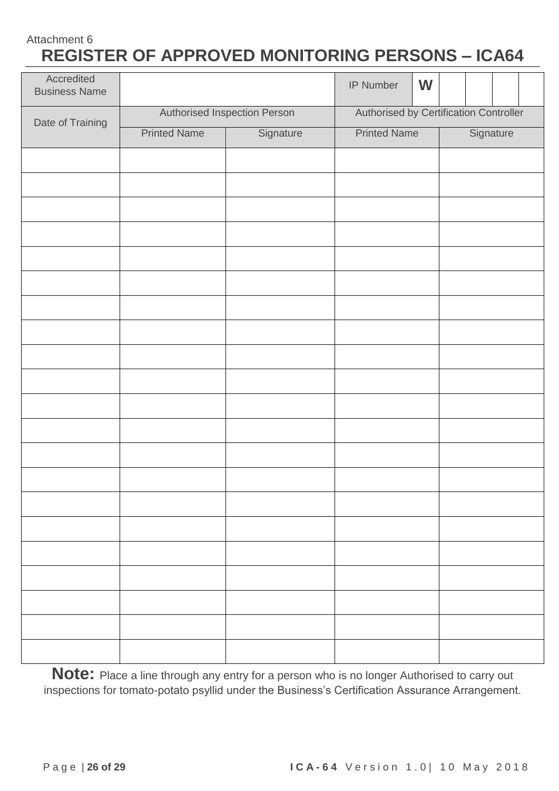## Attachment 6 **REGISTER OF APPROVED MONITORING PERSONS – ICA64**

| Accredited<br><b>Business Name</b> |                     |                              | W<br>IP Number                         |           |  |  |
|------------------------------------|---------------------|------------------------------|----------------------------------------|-----------|--|--|
| Date of Training                   |                     | Authorised Inspection Person | Authorised by Certification Controller |           |  |  |
|                                    | <b>Printed Name</b> | Signature                    | <b>Printed Name</b>                    | Signature |  |  |
|                                    |                     |                              |                                        |           |  |  |
|                                    |                     |                              |                                        |           |  |  |
|                                    |                     |                              |                                        |           |  |  |
|                                    |                     |                              |                                        |           |  |  |
|                                    |                     |                              |                                        |           |  |  |
|                                    |                     |                              |                                        |           |  |  |
|                                    |                     |                              |                                        |           |  |  |
|                                    |                     |                              |                                        |           |  |  |
|                                    |                     |                              |                                        |           |  |  |
|                                    |                     |                              |                                        |           |  |  |
|                                    |                     |                              |                                        |           |  |  |
|                                    |                     |                              |                                        |           |  |  |
|                                    |                     |                              |                                        |           |  |  |
|                                    |                     |                              |                                        |           |  |  |
|                                    |                     |                              |                                        |           |  |  |
|                                    |                     |                              |                                        |           |  |  |
|                                    |                     |                              |                                        |           |  |  |
|                                    |                     |                              |                                        |           |  |  |
|                                    |                     |                              |                                        |           |  |  |
|                                    |                     |                              |                                        |           |  |  |
|                                    |                     |                              |                                        |           |  |  |

**Note:** Place a line through any entry for a person who is no longer Authorised to carry out inspections for tomato-potato psyllid under the Business's Certification Assurance Arrangement.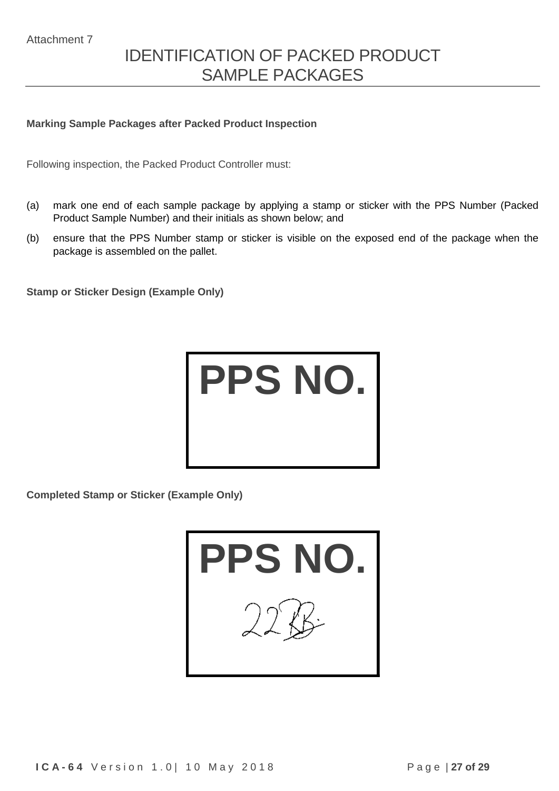# IDENTIFICATION OF PACKED PRODUCT SAMPLE PACKAGES

#### **Marking Sample Packages after Packed Product Inspection**

Following inspection, the Packed Product Controller must:

- (a) mark one end of each sample package by applying a stamp or sticker with the PPS Number (Packed Product Sample Number) and their initials as shown below; and
- (b) ensure that the PPS Number stamp or sticker is visible on the exposed end of the package when the package is assembled on the pallet.

**Stamp or Sticker Design (Example Only)**



**Completed Stamp or Sticker (Example Only)**

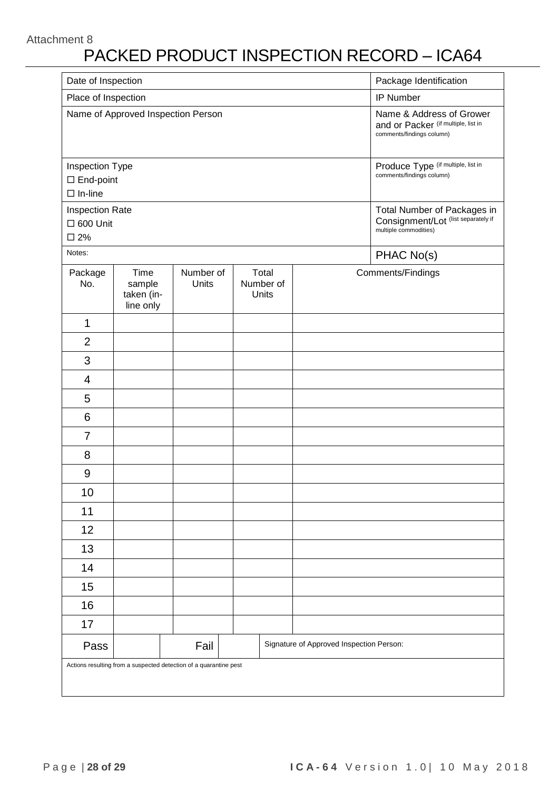#### Attachment 8

# PACKED PRODUCT INSPECTION RECORD – ICA64

| Date of Inspection                                           |                                           | Package Identification                                                                       |                             |                                          |                                                                                             |
|--------------------------------------------------------------|-------------------------------------------|----------------------------------------------------------------------------------------------|-----------------------------|------------------------------------------|---------------------------------------------------------------------------------------------|
| Place of Inspection                                          |                                           |                                                                                              | IP Number                   |                                          |                                                                                             |
|                                                              | Name of Approved Inspection Person        | Name & Address of Grower<br>and or Packer (if multiple, list in<br>comments/findings column) |                             |                                          |                                                                                             |
| Inspection Type<br>$\square$ End-point<br>$\Box$ In-line     |                                           | Produce Type (if multiple, list in<br>comments/findings column)                              |                             |                                          |                                                                                             |
| <b>Inspection Rate</b><br>$\square$ 600 Unit<br>$\square$ 2% |                                           |                                                                                              |                             |                                          | Total Number of Packages in<br>Consignment/Lot (list separately if<br>multiple commodities) |
| Notes:                                                       |                                           |                                                                                              |                             |                                          | PHAC No(s)                                                                                  |
| Package<br>No.                                               | Time<br>sample<br>taken (in-<br>line only | Number of<br>Units                                                                           | Total<br>Number of<br>Units |                                          | Comments/Findings                                                                           |
| 1                                                            |                                           |                                                                                              |                             |                                          |                                                                                             |
| $\overline{2}$                                               |                                           |                                                                                              |                             |                                          |                                                                                             |
| 3                                                            |                                           |                                                                                              |                             |                                          |                                                                                             |
| 4                                                            |                                           |                                                                                              |                             |                                          |                                                                                             |
| 5                                                            |                                           |                                                                                              |                             |                                          |                                                                                             |
| 6                                                            |                                           |                                                                                              |                             |                                          |                                                                                             |
| $\overline{7}$                                               |                                           |                                                                                              |                             |                                          |                                                                                             |
| 8                                                            |                                           |                                                                                              |                             |                                          |                                                                                             |
| 9                                                            |                                           |                                                                                              |                             |                                          |                                                                                             |
| 10                                                           |                                           |                                                                                              |                             |                                          |                                                                                             |
| 11                                                           |                                           |                                                                                              |                             |                                          |                                                                                             |
| 12                                                           |                                           |                                                                                              |                             |                                          |                                                                                             |
| 13                                                           |                                           |                                                                                              |                             |                                          |                                                                                             |
| 14                                                           |                                           |                                                                                              |                             |                                          |                                                                                             |
| 15                                                           |                                           |                                                                                              |                             |                                          |                                                                                             |
| 16                                                           |                                           |                                                                                              |                             |                                          |                                                                                             |
| 17                                                           |                                           |                                                                                              |                             |                                          |                                                                                             |
| Pass                                                         |                                           | Fail                                                                                         |                             | Signature of Approved Inspection Person: |                                                                                             |
|                                                              |                                           | Actions resulting from a suspected detection of a quarantine pest                            |                             |                                          |                                                                                             |